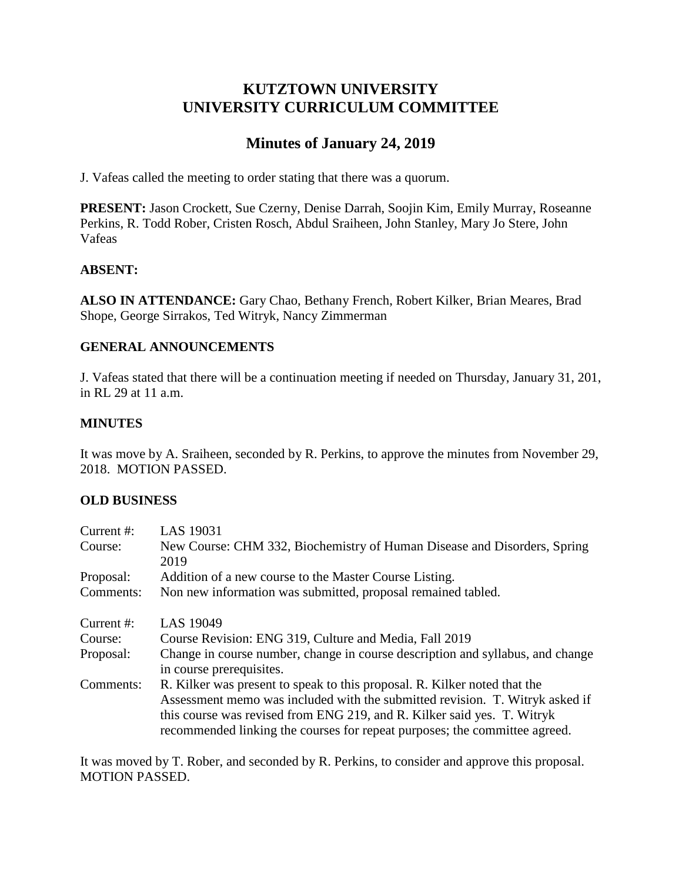# **KUTZTOWN UNIVERSITY UNIVERSITY CURRICULUM COMMITTEE**

# **Minutes of January 24, 2019**

J. Vafeas called the meeting to order stating that there was a quorum.

**PRESENT:** Jason Crockett, Sue Czerny, Denise Darrah, Soojin Kim, Emily Murray, Roseanne Perkins, R. Todd Rober, Cristen Rosch, Abdul Sraiheen, John Stanley, Mary Jo Stere, John Vafeas

## **ABSENT:**

**ALSO IN ATTENDANCE:** Gary Chao, Bethany French, Robert Kilker, Brian Meares, Brad Shope, George Sirrakos, Ted Witryk, Nancy Zimmerman

## **GENERAL ANNOUNCEMENTS**

J. Vafeas stated that there will be a continuation meeting if needed on Thursday, January 31, 201, in RL 29 at 11 a.m.

## **MINUTES**

It was move by A. Sraiheen, seconded by R. Perkins, to approve the minutes from November 29, 2018. MOTION PASSED.

#### **OLD BUSINESS**

| Current #: | LAS 19031                                                                                                  |
|------------|------------------------------------------------------------------------------------------------------------|
| Course:    | New Course: CHM 332, Biochemistry of Human Disease and Disorders, Spring                                   |
|            | 2019                                                                                                       |
| Proposal:  | Addition of a new course to the Master Course Listing.                                                     |
| Comments:  | Non new information was submitted, proposal remained tabled.                                               |
| Current #: | LAS 19049                                                                                                  |
| Course:    | Course Revision: ENG 319, Culture and Media, Fall 2019                                                     |
| Proposal:  | Change in course number, change in course description and syllabus, and change<br>in course prerequisites. |
| Comments:  | R. Kilker was present to speak to this proposal. R. Kilker noted that the                                  |
|            | Assessment memo was included with the submitted revision. T. Witryk asked if                               |
|            | this course was revised from ENG 219, and R. Kilker said yes. T. Witryk                                    |
|            | recommended linking the courses for repeat purposes; the committee agreed.                                 |

It was moved by T. Rober, and seconded by R. Perkins, to consider and approve this proposal. MOTION PASSED.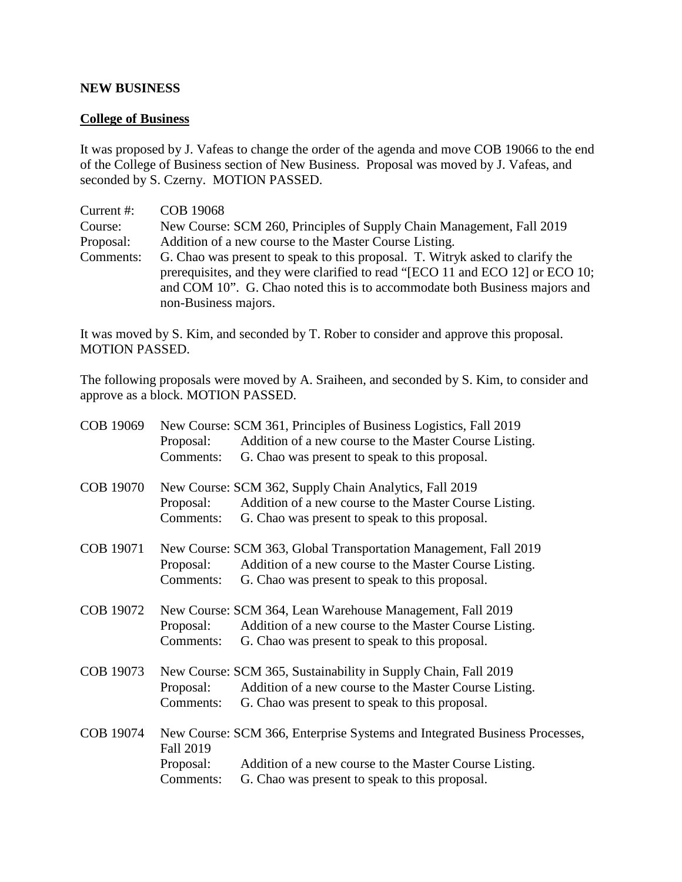#### **NEW BUSINESS**

## **College of Business**

It was proposed by J. Vafeas to change the order of the agenda and move COB 19066 to the end of the College of Business section of New Business. Proposal was moved by J. Vafeas, and seconded by S. Czerny. MOTION PASSED.

| Current #: | <b>COB 19068</b>                                                                                                                                                                                                                                                      |
|------------|-----------------------------------------------------------------------------------------------------------------------------------------------------------------------------------------------------------------------------------------------------------------------|
| Course:    | New Course: SCM 260, Principles of Supply Chain Management, Fall 2019                                                                                                                                                                                                 |
| Proposal:  | Addition of a new course to the Master Course Listing.                                                                                                                                                                                                                |
| Comments:  | G. Chao was present to speak to this proposal. T. Witryk asked to clarify the<br>prerequisites, and they were clarified to read "[ECO 11 and ECO 12] or ECO 10;<br>and COM 10". G. Chao noted this is to accommodate both Business majors and<br>non-Business majors. |

It was moved by S. Kim, and seconded by T. Rober to consider and approve this proposal. MOTION PASSED.

The following proposals were moved by A. Sraiheen, and seconded by S. Kim, to consider and approve as a block. MOTION PASSED.

| COB 19069 | Proposal:<br>Comments:              | New Course: SCM 361, Principles of Business Logistics, Fall 2019<br>Addition of a new course to the Master Course Listing.<br>G. Chao was present to speak to this proposal.           |
|-----------|-------------------------------------|----------------------------------------------------------------------------------------------------------------------------------------------------------------------------------------|
| COB 19070 | Proposal:<br>Comments:              | New Course: SCM 362, Supply Chain Analytics, Fall 2019<br>Addition of a new course to the Master Course Listing.<br>G. Chao was present to speak to this proposal.                     |
| COB 19071 | Proposal:<br>Comments:              | New Course: SCM 363, Global Transportation Management, Fall 2019<br>Addition of a new course to the Master Course Listing.<br>G. Chao was present to speak to this proposal.           |
| COB 19072 | Proposal:<br>Comments:              | New Course: SCM 364, Lean Warehouse Management, Fall 2019<br>Addition of a new course to the Master Course Listing.<br>G. Chao was present to speak to this proposal.                  |
| COB 19073 | Proposal:<br>Comments:              | New Course: SCM 365, Sustainability in Supply Chain, Fall 2019<br>Addition of a new course to the Master Course Listing.<br>G. Chao was present to speak to this proposal.             |
| COB 19074 | Fall 2019<br>Proposal:<br>Comments: | New Course: SCM 366, Enterprise Systems and Integrated Business Processes,<br>Addition of a new course to the Master Course Listing.<br>G. Chao was present to speak to this proposal. |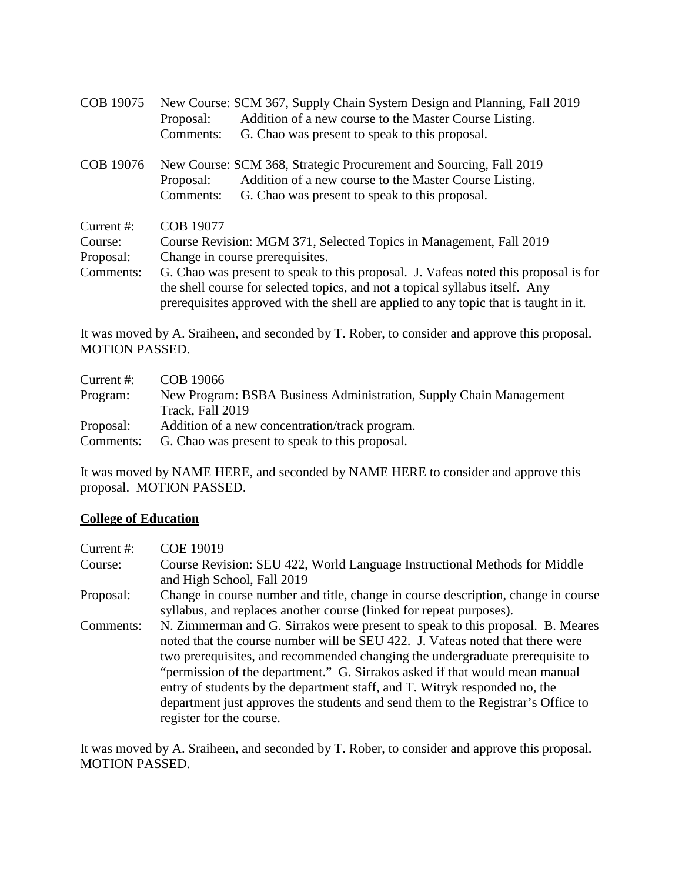| COB 19075     | New Course: SCM 367, Supply Chain System Design and Planning, Fall 2019              |  |
|---------------|--------------------------------------------------------------------------------------|--|
|               | Addition of a new course to the Master Course Listing.<br>Proposal:                  |  |
|               | Comments:<br>G. Chao was present to speak to this proposal.                          |  |
| COB 19076     | New Course: SCM 368, Strategic Procurement and Sourcing, Fall 2019                   |  |
|               | Addition of a new course to the Master Course Listing.<br>Proposal:                  |  |
|               | Comments:<br>G. Chao was present to speak to this proposal.                          |  |
| Current $#$ : | <b>COB 19077</b>                                                                     |  |
| Course:       | Course Revision: MGM 371, Selected Topics in Management, Fall 2019                   |  |
| Proposal:     | Change in course prerequisites.                                                      |  |
| Comments:     | G. Chao was present to speak to this proposal. J. Vafeas noted this proposal is for  |  |
|               | the shell course for selected topics, and not a topical syllabus itself. Any         |  |
|               | prerequisites approved with the shell are applied to any topic that is taught in it. |  |

It was moved by A. Sraiheen, and seconded by T. Rober, to consider and approve this proposal. MOTION PASSED.

| Current $#$ : | COB 19066                                                          |
|---------------|--------------------------------------------------------------------|
| Program:      | New Program: BSBA Business Administration, Supply Chain Management |
|               | Track, Fall 2019                                                   |
| Proposal:     | Addition of a new concentration/track program.                     |
| Comments:     | G. Chao was present to speak to this proposal.                     |

It was moved by NAME HERE, and seconded by NAME HERE to consider and approve this proposal. MOTION PASSED.

## **College of Education**

| Current $#$ : | <b>COE 19019</b>                                                                                                                                                                                                                                                                                                                                                                                                                                                                                                              |
|---------------|-------------------------------------------------------------------------------------------------------------------------------------------------------------------------------------------------------------------------------------------------------------------------------------------------------------------------------------------------------------------------------------------------------------------------------------------------------------------------------------------------------------------------------|
| Course:       | Course Revision: SEU 422, World Language Instructional Methods for Middle<br>and High School, Fall 2019                                                                                                                                                                                                                                                                                                                                                                                                                       |
| Proposal:     | Change in course number and title, change in course description, change in course<br>syllabus, and replaces another course (linked for repeat purposes).                                                                                                                                                                                                                                                                                                                                                                      |
| Comments:     | N. Zimmerman and G. Sirrakos were present to speak to this proposal. B. Meares<br>noted that the course number will be SEU 422. J. Vafeas noted that there were<br>two prerequisites, and recommended changing the undergraduate prerequisite to<br>"permission of the department." G. Sirrakos asked if that would mean manual<br>entry of students by the department staff, and T. Witryk responded no, the<br>department just approves the students and send them to the Registrar's Office to<br>register for the course. |

It was moved by A. Sraiheen, and seconded by T. Rober, to consider and approve this proposal. MOTION PASSED.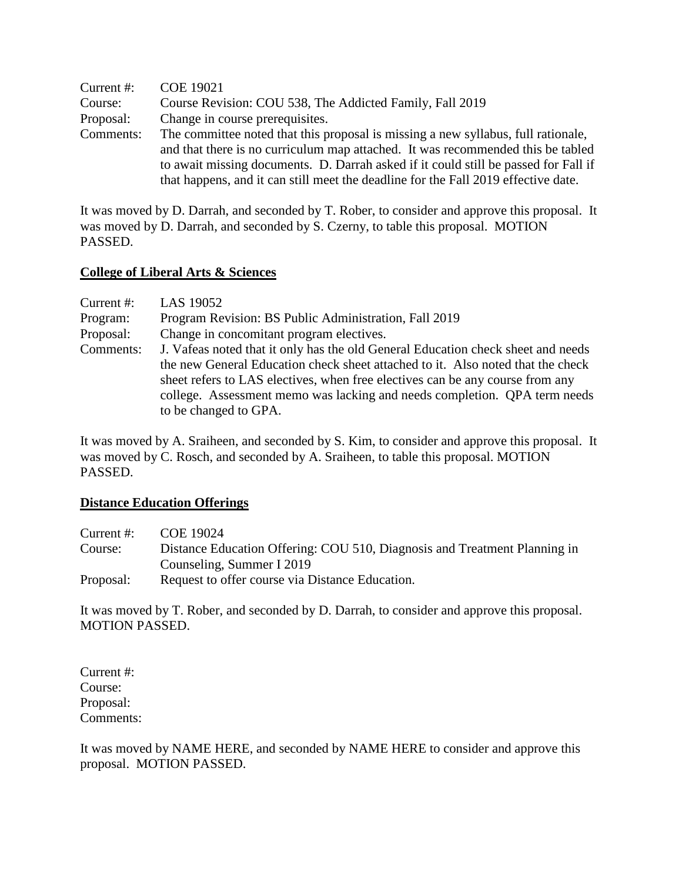| Current #: | <b>COE 19021</b>                                                                    |
|------------|-------------------------------------------------------------------------------------|
| Course:    | Course Revision: COU 538, The Addicted Family, Fall 2019                            |
| Proposal:  | Change in course prerequisites.                                                     |
| Comments:  | The committee noted that this proposal is missing a new syllabus, full rationale,   |
|            | and that there is no curriculum map attached. It was recommended this be tabled     |
|            | to await missing documents. D. Darrah asked if it could still be passed for Fall if |
|            | that happens, and it can still meet the deadline for the Fall 2019 effective date.  |

It was moved by D. Darrah, and seconded by T. Rober, to consider and approve this proposal. It was moved by D. Darrah, and seconded by S. Czerny, to table this proposal. MOTION PASSED.

#### **College of Liberal Arts & Sciences**

| Current $#$ : | LAS 19052                                                                        |
|---------------|----------------------------------------------------------------------------------|
| Program:      | Program Revision: BS Public Administration, Fall 2019                            |
| Proposal:     | Change in concomitant program electives.                                         |
| Comments:     | J. Vafeas noted that it only has the old General Education check sheet and needs |
|               | the new General Education check sheet attached to it. Also noted that the check  |
|               | sheet refers to LAS electives, when free electives can be any course from any    |
|               | college. Assessment memo was lacking and needs completion. QPA term needs        |
|               | to be changed to GPA.                                                            |

It was moved by A. Sraiheen, and seconded by S. Kim, to consider and approve this proposal. It was moved by C. Rosch, and seconded by A. Sraiheen, to table this proposal. MOTION PASSED.

#### **Distance Education Offerings**

| Current $#$ : | COE 19024                                                                 |
|---------------|---------------------------------------------------------------------------|
| Course:       | Distance Education Offering: COU 510, Diagnosis and Treatment Planning in |
|               | Counseling, Summer I 2019                                                 |
| Proposal:     | Request to offer course via Distance Education.                           |

It was moved by T. Rober, and seconded by D. Darrah, to consider and approve this proposal. MOTION PASSED.

Current #: Course: Proposal: Comments:

It was moved by NAME HERE, and seconded by NAME HERE to consider and approve this proposal. MOTION PASSED.